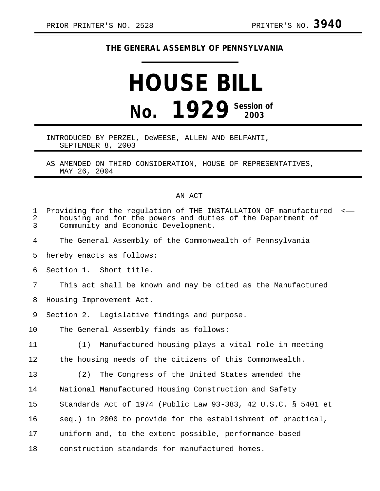## **THE GENERAL ASSEMBLY OF PENNSYLVANIA**

## **HOUSE BILL No. 1929 Session of 2003**

## INTRODUCED BY PERZEL, DeWEESE, ALLEN AND BELFANTI, SEPTEMBER 8, 2003

AS AMENDED ON THIRD CONSIDERATION, HOUSE OF REPRESENTATIVES, MAY 26, 2004

## AN ACT

| $\mathbf{1}$<br>2<br>3 | Providing for the regulation of THE INSTALLATION OF manufactured <<br>housing and for the powers and duties of the Department of<br>Community and Economic Development. |
|------------------------|-------------------------------------------------------------------------------------------------------------------------------------------------------------------------|
| 4                      | The General Assembly of the Commonwealth of Pennsylvania                                                                                                                |
| 5                      | hereby enacts as follows:                                                                                                                                               |
| 6                      | Section 1. Short title.                                                                                                                                                 |
| 7                      | This act shall be known and may be cited as the Manufactured                                                                                                            |
| 8                      | Housing Improvement Act.                                                                                                                                                |
| 9                      | Section 2. Legislative findings and purpose.                                                                                                                            |
| 10 <sub>1</sub>        | The General Assembly finds as follows:                                                                                                                                  |
| 11                     | Manufactured housing plays a vital role in meeting<br>(1)                                                                                                               |
| 12                     | the housing needs of the citizens of this Commonwealth.                                                                                                                 |
| 13                     | The Congress of the United States amended the<br>(2)                                                                                                                    |
| 14                     | National Manufactured Housing Construction and Safety                                                                                                                   |
| 15                     | Standards Act of 1974 (Public Law 93-383, 42 U.S.C. § 5401 et                                                                                                           |
| 16                     | seq.) in 2000 to provide for the establishment of practical,                                                                                                            |
| 17                     | uniform and, to the extent possible, performance-based                                                                                                                  |
| 18                     | construction standards for manufactured homes.                                                                                                                          |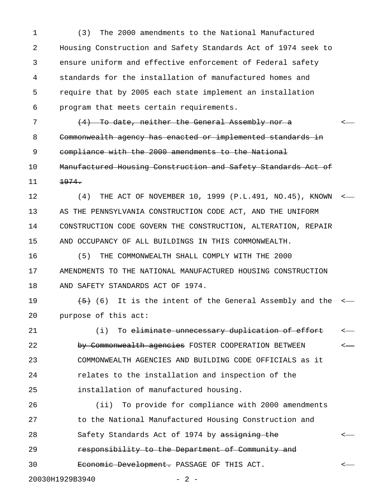1 (3) The 2000 amendments to the National Manufactured 2 Housing Construction and Safety Standards Act of 1974 seek to 3 ensure uniform and effective enforcement of Federal safety 4 standards for the installation of manufactured homes and 5 require that by 2005 each state implement an installation 6 program that meets certain requirements.

7 (4) To date, neither the General Assembly nor a set of the Contract of  $\leq$ 8 Commonwealth agency has enacted or implemented standards in 9 compliance with the 2000 amendments to the National 10 Manufactured Housing Construction and Safety Standards Act of

 $11 \t\t 1974.$ 

12 (4) THE ACT OF NOVEMBER 10, 1999 (P.L.491, NO.45), KNOWN < 13 AS THE PENNSYLVANIA CONSTRUCTION CODE ACT, AND THE UNIFORM 14 CONSTRUCTION CODE GOVERN THE CONSTRUCTION, ALTERATION, REPAIR 15 AND OCCUPANCY OF ALL BUILDINGS IN THIS COMMONWEALTH.

16 (5) THE COMMONWEALTH SHALL COMPLY WITH THE 2000 17 AMENDMENTS TO THE NATIONAL MANUFACTURED HOUSING CONSTRUCTION 18 AND SAFETY STANDARDS ACT OF 1974.

19  $\leftarrow$   $\leftarrow$  (6) It is the intent of the General Assembly and the  $\leftarrow$ 20 purpose of this act:

21 (i) To eliminate unnecessary duplication of effort 22 by Commonwealth agencies FOSTER COOPERATION BETWEEN <-23 COMMONWEALTH AGENCIES AND BUILDING CODE OFFICIALS as it 24 relates to the installation and inspection of the 25 installation of manufactured housing.

26 (ii) To provide for compliance with 2000 amendments 27 to the National Manufactured Housing Construction and 28 Safety Standards Act of 1974 by assigning the  $\sim$ 29 **responsibility to the Department of Community and** 30 Economic Development. PASSAGE OF THIS ACT.

20030H1929B3940 - 2 -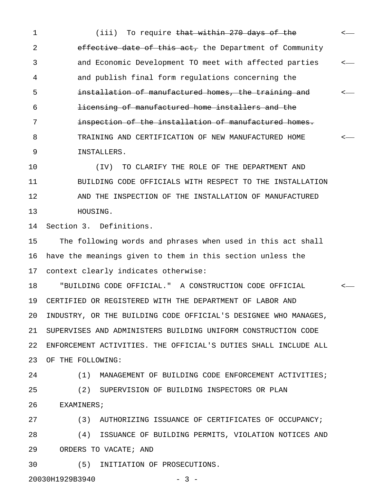1 (iii) To require <del>that within 270 days of the</del>  $\sim$ 2 effective date of this act, the Department of Community 3 and Economic Development TO meet with affected parties < 4 and publish final form regulations concerning the 5 installation of manufactured homes, the training and < 6 licensing of manufactured home installers and the 7 **inspection of the installation of manufactured homes.** 8 TRAINING AND CERTIFICATION OF NEW MANUFACTURED HOME < 9 INSTALLERS.

10 (IV) TO CLARIFY THE ROLE OF THE DEPARTMENT AND 11 BUILDING CODE OFFICIALS WITH RESPECT TO THE INSTALLATION 12 AND THE INSPECTION OF THE INSTALLATION OF MANUFACTURED 13 HOUSING.

14 Section 3. Definitions.

15 The following words and phrases when used in this act shall 16 have the meanings given to them in this section unless the 17 context clearly indicates otherwise:

18 "BUILDING CODE OFFICIAL." A CONSTRUCTION CODE OFFICIAL < 19 CERTIFIED OR REGISTERED WITH THE DEPARTMENT OF LABOR AND 20 INDUSTRY, OR THE BUILDING CODE OFFICIAL'S DESIGNEE WHO MANAGES, 21 SUPERVISES AND ADMINISTERS BUILDING UNIFORM CONSTRUCTION CODE 22 ENFORCEMENT ACTIVITIES. THE OFFICIAL'S DUTIES SHALL INCLUDE ALL 23 OF THE FOLLOWING:

24 (1) MANAGEMENT OF BUILDING CODE ENFORCEMENT ACTIVITIES; 25 (2) SUPERVISION OF BUILDING INSPECTORS OR PLAN 26 EXAMINERS;

27 (3) AUTHORIZING ISSUANCE OF CERTIFICATES OF OCCUPANCY; 28 (4) ISSUANCE OF BUILDING PERMITS, VIOLATION NOTICES AND 29 ORDERS TO VACATE; AND

30 (5) INITIATION OF PROSECUTIONS.

20030H1929B3940 - 3 -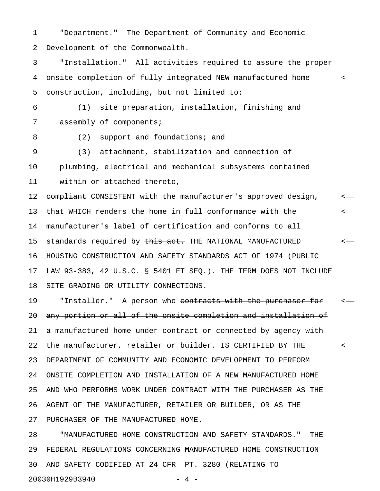1 "Department." The Department of Community and Economic 2 Development of the Commonwealth.

3 "Installation." All activities required to assure the proper 4 onsite completion of fully integrated NEW manufactured home < 5 construction, including, but not limited to:

6 (1) site preparation, installation, finishing and 7 assembly of components;

8 (2) support and foundations; and

9 (3) attachment, stabilization and connection of 10 plumbing, electrical and mechanical subsystems contained 11 within or attached thereto,

12 compliant CONSISTENT with the manufacturer's approved design,  $\sim$ 13 that WHICH renders the home in full conformance with the  $\leftarrow$ 14 manufacturer's label of certification and conforms to all 15 standards required by <del>this act.</del> THE NATIONAL MANUFACTURED  $\leftarrow$ 16 HOUSING CONSTRUCTION AND SAFETY STANDARDS ACT OF 1974 (PUBLIC 17 LAW 93-383, 42 U.S.C. § 5401 ET SEQ.). THE TERM DOES NOT INCLUDE 18 SITE GRADING OR UTILITY CONNECTIONS.

19 TInstaller." A person who contracts with the purchaser for  $\sim$ 20 any portion or all of the onsite completion and installation of 21 a manufactured home under contract or connected by agency with 22 the manufacturer, retailer or builder. IS CERTIFIED BY THE  $\sim$ 23 DEPARTMENT OF COMMUNITY AND ECONOMIC DEVELOPMENT TO PERFORM 24 ONSITE COMPLETION AND INSTALLATION OF A NEW MANUFACTURED HOME 25 AND WHO PERFORMS WORK UNDER CONTRACT WITH THE PURCHASER AS THE 26 AGENT OF THE MANUFACTURER, RETAILER OR BUILDER, OR AS THE 27 PURCHASER OF THE MANUFACTURED HOME.

28 "MANUFACTURED HOME CONSTRUCTION AND SAFETY STANDARDS." THE 29 FEDERAL REGULATIONS CONCERNING MANUFACTURED HOME CONSTRUCTION 30 AND SAFETY CODIFIED AT 24 CFR PT. 3280 (RELATING TO 20030H1929B3940 - 4 -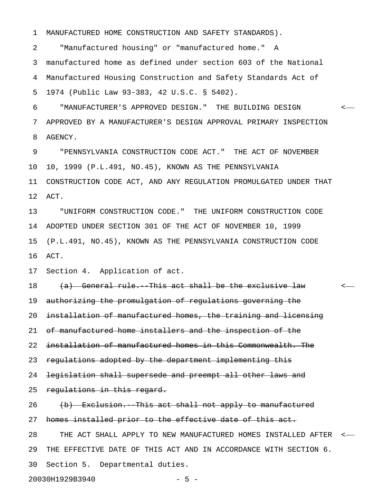1 MANUFACTURED HOME CONSTRUCTION AND SAFETY STANDARDS).

2 "Manufactured housing" or "manufactured home." A 3 manufactured home as defined under section 603 of the National 4 Manufactured Housing Construction and Safety Standards Act of 5 1974 (Public Law 93-383, 42 U.S.C. § 5402).

6 "MANUFACTURER'S APPROVED DESIGN." THE BUILDING DESIGN < 7 APPROVED BY A MANUFACTURER'S DESIGN APPROVAL PRIMARY INSPECTION 8 AGENCY.

9 "PENNSYLVANIA CONSTRUCTION CODE ACT." THE ACT OF NOVEMBER 10 10, 1999 (P.L.491, NO.45), KNOWN AS THE PENNSYLVANIA 11 CONSTRUCTION CODE ACT, AND ANY REGULATION PROMULGATED UNDER THAT 12 ACT.

13 "UNIFORM CONSTRUCTION CODE." THE UNIFORM CONSTRUCTION CODE 14 ADOPTED UNDER SECTION 301 OF THE ACT OF NOVEMBER 10, 1999 15 (P.L.491, NO.45), KNOWN AS THE PENNSYLVANIA CONSTRUCTION CODE 16 ACT.

17 Section 4. Application of act.

18 (a) General rule. This act shall be the exclusive law  $\leq$ 19 authorizing the promulgation of regulations governing the 20 installation of manufactured homes, the training and licensing 21 of manufactured home installers and the inspection of the 22 installation of manufactured homes in this Commonwealth. The 23 regulations adopted by the department implementing this 24 legislation shall supersede and preempt all other laws and 25 regulations in this regard. 26 (b) Exclusion. This act shall not apply to manufactured 27 homes installed prior to the effective date of this act. 28 THE ACT SHALL APPLY TO NEW MANUFACTURED HOMES INSTALLED AFTER < 29 THE EFFECTIVE DATE OF THIS ACT AND IN ACCORDANCE WITH SECTION 6. 30 Section 5. Departmental duties.

20030H1929B3940 - 5 -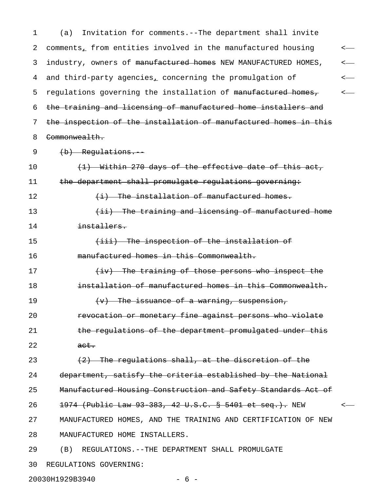1 (a) Invitation for comments.--The department shall invite 2 comments, from entities involved in the manufactured housing  $\leftarrow$ 3 industry, owners of <del>manufactured homes</del> NEW MANUFACTURED HOMES, <-4 and third-party agencies, concerning the promulgation of  $\leftarrow$ 5 regulations governing the installation of manufactured homes,  $\sim$ 6 the training and licensing of manufactured home installers and 7 the inspection of the installation of manufactured homes in this 8 Commonwealth. 9 (b) Regulations. 10  $(1)$  Within 270 days of the effective date of this act, 11 the department shall promulgate regulations governing: 12 (i) The installation of manufactured homes. 13 (ii) The training and licensing of manufactured home 14 installers. 15 (iii) The inspection of the installation of 16 manufactured homes in this Commonwealth. 17 (iv) The training of those persons who inspect the 18 installation of manufactured homes in this Commonwealth. 19  $(v)$  The issuance of a warning, suspension, 20 **revocation or monetary fine against persons who violate** 21 the regulations of the department promulgated under this 22 act. 23  $(2)$  The regulations shall, at the discretion of the 24 department, satisfy the criteria established by the National 25 Manufactured Housing Construction and Safety Standards Act of 26 1974 (Public Law 93 383, 42 U.S.C. § 5401 et seq.). NEW <-27 MANUFACTURED HOMES, AND THE TRAINING AND CERTIFICATION OF NEW 28 MANUFACTURED HOME INSTALLERS. 29 (B) REGULATIONS.--THE DEPARTMENT SHALL PROMULGATE 30 REGULATIONS GOVERNING:

20030H1929B3940 - 6 -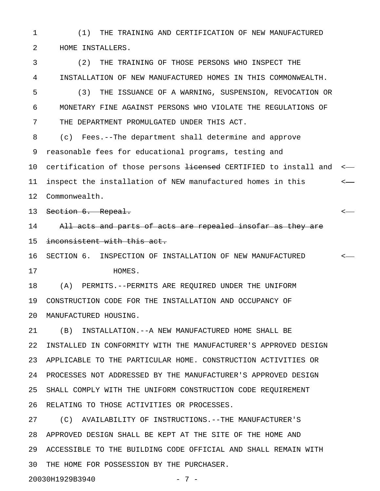1 (1) THE TRAINING AND CERTIFICATION OF NEW MANUFACTURED 2 HOME INSTALLERS.

3 (2) THE TRAINING OF THOSE PERSONS WHO INSPECT THE 4 INSTALLATION OF NEW MANUFACTURED HOMES IN THIS COMMONWEALTH. 5 (3) THE ISSUANCE OF A WARNING, SUSPENSION, REVOCATION OR 6 MONETARY FINE AGAINST PERSONS WHO VIOLATE THE REGULATIONS OF 7 THE DEPARTMENT PROMULGATED UNDER THIS ACT. 8 (c) Fees.--The department shall determine and approve 9 reasonable fees for educational programs, testing and 10 certification of those persons <del>licensed</del> CERTIFIED to install and <-11 inspect the installation of NEW manufactured homes in this < 12 Commonwealth. 13 <del>Section 6. Repeal.</del>  $\longleftarrow$ 14 All acts and parts of acts are repealed insofar as they are 15 inconsistent with this act. 16 SECTION 6. INSPECTION OF INSTALLATION OF NEW MANUFACTURED < 17 HOMES. 18 (A) PERMITS.--PERMITS ARE REQUIRED UNDER THE UNIFORM 19 CONSTRUCTION CODE FOR THE INSTALLATION AND OCCUPANCY OF 20 MANUFACTURED HOUSING. 21 (B) INSTALLATION.--A NEW MANUFACTURED HOME SHALL BE 22 INSTALLED IN CONFORMITY WITH THE MANUFACTURER'S APPROVED DESIGN 23 APPLICABLE TO THE PARTICULAR HOME. CONSTRUCTION ACTIVITIES OR 24 PROCESSES NOT ADDRESSED BY THE MANUFACTURER'S APPROVED DESIGN 25 SHALL COMPLY WITH THE UNIFORM CONSTRUCTION CODE REQUIREMENT 26 RELATING TO THOSE ACTIVITIES OR PROCESSES. 27 (C) AVAILABILITY OF INSTRUCTIONS.--THE MANUFACTURER'S 28 APPROVED DESIGN SHALL BE KEPT AT THE SITE OF THE HOME AND

29 ACCESSIBLE TO THE BUILDING CODE OFFICIAL AND SHALL REMAIN WITH 30 THE HOME FOR POSSESSION BY THE PURCHASER.

20030H1929B3940 - 7 -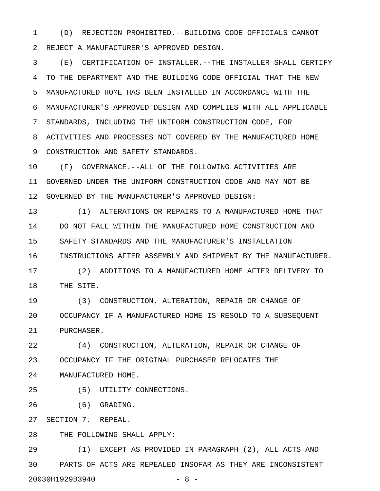1 (D) REJECTION PROHIBITED.--BUILDING CODE OFFICIALS CANNOT 2 REJECT A MANUFACTURER'S APPROVED DESIGN.

3 (E) CERTIFICATION OF INSTALLER.--THE INSTALLER SHALL CERTIFY 4 TO THE DEPARTMENT AND THE BUILDING CODE OFFICIAL THAT THE NEW 5 MANUFACTURED HOME HAS BEEN INSTALLED IN ACCORDANCE WITH THE 6 MANUFACTURER'S APPROVED DESIGN AND COMPLIES WITH ALL APPLICABLE 7 STANDARDS, INCLUDING THE UNIFORM CONSTRUCTION CODE, FOR 8 ACTIVITIES AND PROCESSES NOT COVERED BY THE MANUFACTURED HOME 9 CONSTRUCTION AND SAFETY STANDARDS.

10 (F) GOVERNANCE.--ALL OF THE FOLLOWING ACTIVITIES ARE 11 GOVERNED UNDER THE UNIFORM CONSTRUCTION CODE AND MAY NOT BE 12 GOVERNED BY THE MANUFACTURER'S APPROVED DESIGN:

13 (1) ALTERATIONS OR REPAIRS TO A MANUFACTURED HOME THAT 14 DO NOT FALL WITHIN THE MANUFACTURED HOME CONSTRUCTION AND 15 SAFETY STANDARDS AND THE MANUFACTURER'S INSTALLATION 16 INSTRUCTIONS AFTER ASSEMBLY AND SHIPMENT BY THE MANUFACTURER.

17 (2) ADDITIONS TO A MANUFACTURED HOME AFTER DELIVERY TO 18 THE SITE.

19 (3) CONSTRUCTION, ALTERATION, REPAIR OR CHANGE OF 20 OCCUPANCY IF A MANUFACTURED HOME IS RESOLD TO A SUBSEQUENT 21 PURCHASER.

22 (4) CONSTRUCTION, ALTERATION, REPAIR OR CHANGE OF 23 OCCUPANCY IF THE ORIGINAL PURCHASER RELOCATES THE 24 MANUFACTURED HOME.

25 (5) UTILITY CONNECTIONS.

26 (6) GRADING.

27 SECTION 7. REPEAL.

28 THE FOLLOWING SHALL APPLY:

29 (1) EXCEPT AS PROVIDED IN PARAGRAPH (2), ALL ACTS AND 30 PARTS OF ACTS ARE REPEALED INSOFAR AS THEY ARE INCONSISTENT 20030H1929B3940 - 8 -